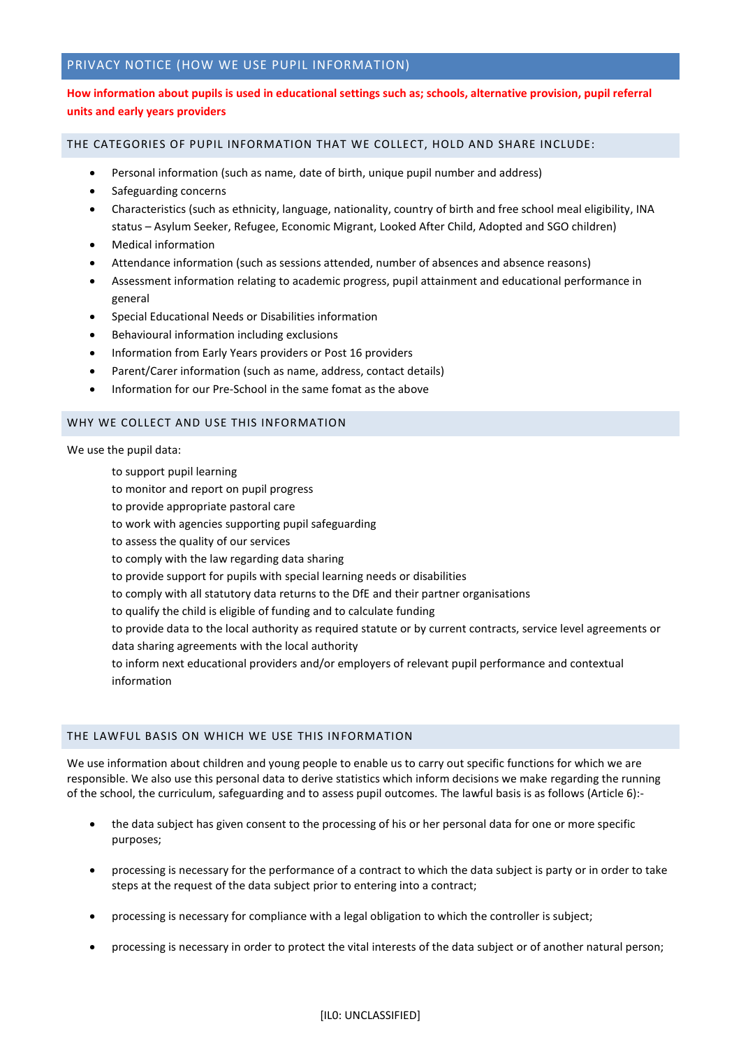## PRIVACY NOTICE (HOW WE USE PUPIL INFORMATION)

# **How information about pupils is used in educational settings such as; schools, alternative provision, pupil referral units and early years providers**

#### THE CATEGORIES OF PUPIL INFORMATION THAT WE COLLECT, HOLD AND SHARE INCLUDE:

- Personal information (such as name, date of birth, unique pupil number and address)
- Safeguarding concerns
- Characteristics (such as ethnicity, language, nationality, country of birth and free school meal eligibility, INA status – Asylum Seeker, Refugee, Economic Migrant, Looked After Child, Adopted and SGO children)
- Medical information
- Attendance information (such as sessions attended, number of absences and absence reasons)
- Assessment information relating to academic progress, pupil attainment and educational performance in general
- Special Educational Needs or Disabilities information
- Behavioural information including exclusions
- Information from Early Years providers or Post 16 providers
- Parent/Carer information (such as name, address, contact details)
- Information for our Pre-School in the same fomat as the above

#### WHY WE COLLECT AND USE THIS INFORMATION

We use the pupil data:

- to support pupil learning
- to monitor and report on pupil progress
- to provide appropriate pastoral care
- to work with agencies supporting pupil safeguarding
- to assess the quality of our services
- to comply with the law regarding data sharing
- to provide support for pupils with special learning needs or disabilities
- to comply with all statutory data returns to the DfE and their partner organisations
- to qualify the child is eligible of funding and to calculate funding
- to provide data to the local authority as required statute or by current contracts, service level agreements or data sharing agreements with the local authority
- to inform next educational providers and/or employers of relevant pupil performance and contextual information

#### THE LAWFUL BASIS ON WHICH WE USE THIS INFORMATION

We use information about children and young people to enable us to carry out specific functions for which we are responsible. We also use this personal data to derive statistics which inform decisions we make regarding the running of the school, the curriculum, safeguarding and to assess pupil outcomes. The lawful basis is as follows (Article 6):-

- the data subject has given consent to the processing of his or her personal data for one or more specific purposes;
- processing is necessary for the performance of a contract to which the data subject is party or in order to take steps at the request of the data subject prior to entering into a contract;
- processing is necessary for compliance with a legal obligation to which the controller is subject;
- processing is necessary in order to protect the vital interests of the data subject or of another natural person;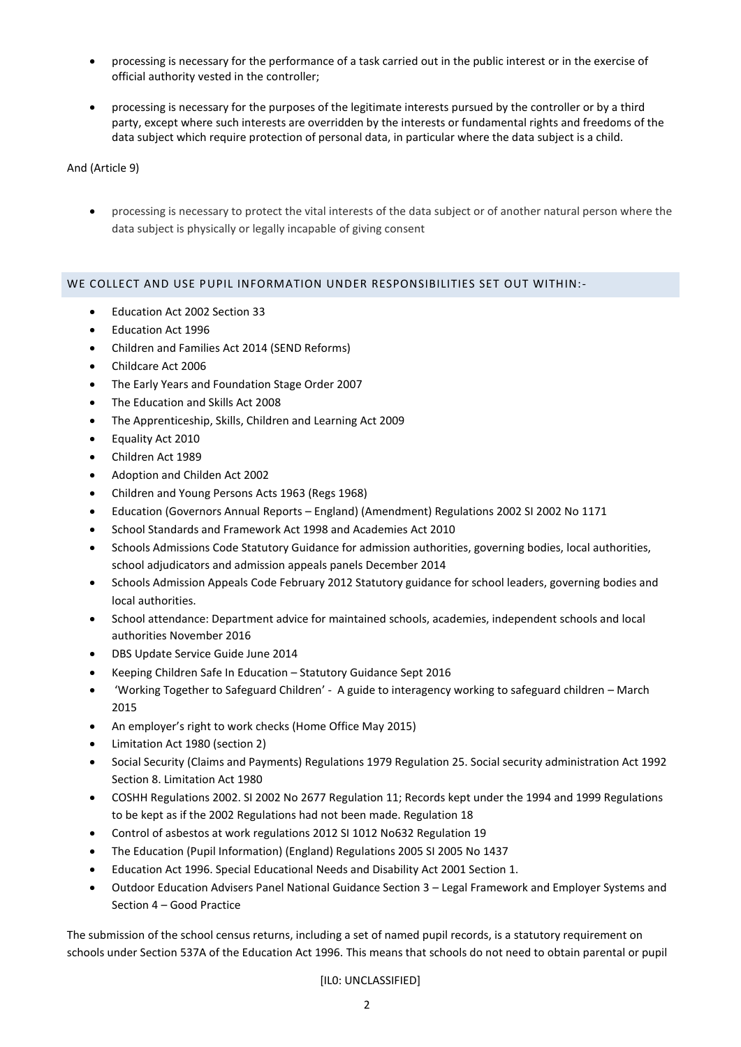- processing is necessary for the performance of a task carried out in the public interest or in the exercise of official authority vested in the controller;
- processing is necessary for the purposes of the legitimate interests pursued by the controller or by a third party, except where such interests are overridden by the interests or fundamental rights and freedoms of the data subject which require protection of personal data, in particular where the data subject is a child.

And (Article 9)

 processing is necessary to protect the vital interests of the data subject or of another natural person where the data subject is physically or legally incapable of giving consent

### WE COLLECT AND USE PUPIL INFORMATION UNDER RESPONSIBILITIES SET OUT WITHIN:-

- Education Act 2002 Section 33
- Education Act 1996
- Children and Families Act 2014 (SEND Reforms)
- Childcare Act 2006
- The Early Years and Foundation Stage Order 2007
- The Education and Skills Act 2008
- The Apprenticeship, Skills, Children and Learning Act 2009
- Equality Act 2010
- Children Act 1989
- Adoption and Childen Act 2002
- Children and Young Persons Acts 1963 (Regs 1968)
- Education (Governors Annual Reports England) (Amendment) Regulations 2002 SI 2002 No 1171
- School Standards and Framework Act 1998 and Academies Act 2010
- Schools Admissions Code Statutory Guidance for admission authorities, governing bodies, local authorities, school adjudicators and admission appeals panels December 2014
- Schools Admission Appeals Code February 2012 Statutory guidance for school leaders, governing bodies and local authorities.
- School attendance: Department advice for maintained schools, academies, independent schools and local authorities November 2016
- DBS Update Service Guide June 2014
- Keeping Children Safe In Education Statutory Guidance Sept 2016
- 'Working Together to Safeguard Children' A guide to interagency working to safeguard children March 2015
- An employer's right to work checks (Home Office May 2015)
- Limitation Act 1980 (section 2)
- Social Security (Claims and Payments) Regulations 1979 Regulation 25. Social security administration Act 1992 Section 8. Limitation Act 1980
- COSHH Regulations 2002. SI 2002 No 2677 Regulation 11; Records kept under the 1994 and 1999 Regulations to be kept as if the 2002 Regulations had not been made. Regulation 18
- Control of asbestos at work regulations 2012 SI 1012 No632 Regulation 19
- The Education (Pupil Information) (England) Regulations 2005 SI 2005 No 1437
- Education Act 1996. Special Educational Needs and Disability Act 2001 Section 1.
- Outdoor Education Advisers Panel National Guidance Section 3 Legal Framework and Employer Systems and Section 4 – Good Practice

The submission of the school census returns, including a set of named pupil records, is a statutory requirement on schools under Section 537A of the Education Act 1996. This means that schools do not need to obtain parental or pupil

[IL0: UNCLASSIFIED]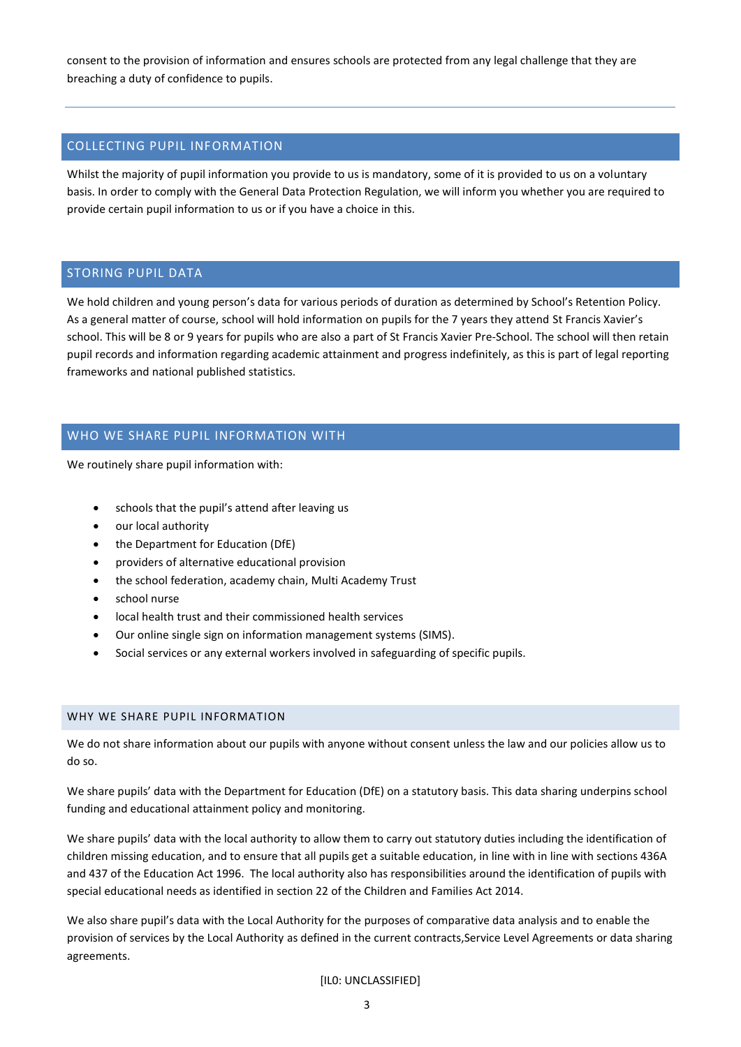consent to the provision of information and ensures schools are protected from any legal challenge that they are breaching a duty of confidence to pupils.

### COLLECTING PUPIL INFORMATION

Whilst the majority of pupil information you provide to us is mandatory, some of it is provided to us on a voluntary basis. In order to comply with the General Data Protection Regulation, we will inform you whether you are required to provide certain pupil information to us or if you have a choice in this.

### STORING PUPIL DATA

We hold children and young person's data for various periods of duration as determined by School's Retention Policy. As a general matter of course, school will hold information on pupils for the 7 years they attend St Francis Xavier's school. This will be 8 or 9 years for pupils who are also a part of St Francis Xavier Pre-School. The school will then retain pupil records and information regarding academic attainment and progress indefinitely, as this is part of legal reporting frameworks and national published statistics.

## WHO WE SHARE PUPIL INFORMATION WITH

We routinely share pupil information with:

- schools that the pupil's attend after leaving us
- our local authority
- the Department for Education (DfE)
- providers of alternative educational provision
- the school federation, academy chain, Multi Academy Trust
- school nurse
- local health trust and their commissioned health services
- Our online single sign on information management systems (SIMS).
- Social services or any external workers involved in safeguarding of specific pupils.

#### WHY WE SHARE PUPIL INFORMATION

We do not share information about our pupils with anyone without consent unless the law and our policies allow us to do so.

We share pupils' data with the Department for Education (DfE) on a statutory basis. This data sharing underpins school funding and educational attainment policy and monitoring.

We share pupils' data with the local authority to allow them to carry out statutory duties including the identification of children missing education, and to ensure that all pupils get a suitable education, in line with in line with sections 436A and 437 of the Education Act 1996. The local authority also has responsibilities around the identification of pupils with special educational needs as identified in section 22 of the Children and Families Act 2014.

We also share pupil's data with the Local Authority for the purposes of comparative data analysis and to enable the provision of services by the Local Authority as defined in the current contracts,Service Level Agreements or data sharing agreements.

[IL0: UNCLASSIFIED]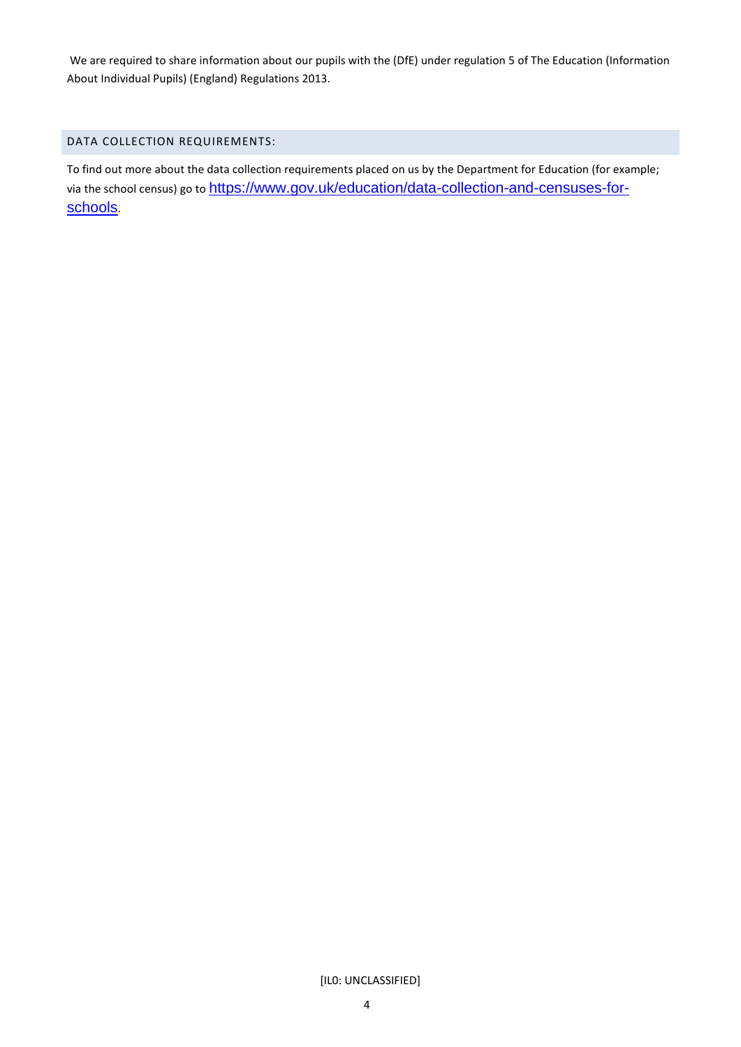We are required to share information about our pupils with the (DfE) under regulation 5 of The Education (Information About Individual Pupils) (England) Regulations 2013.

# DATA COLLECTION REQUIREMENTS:

To find out more about the data collection requirements placed on us by the Department for Education (for example; via the school census) go to [https://www.gov.uk/education/data-collection-and-censuses-for](https://www.gov.uk/education/data-collection-and-censuses-for-schools)[schools](https://www.gov.uk/education/data-collection-and-censuses-for-schools).

[IL0: UNCLASSIFIED]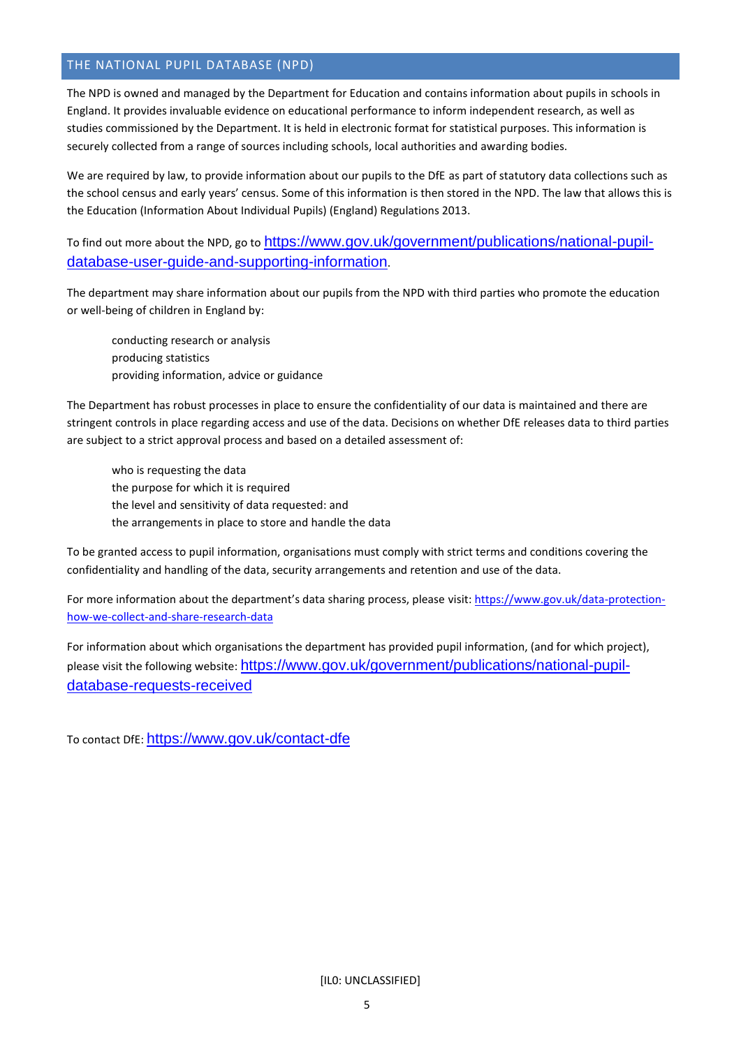## THE NATIONAL PUPIL DATABASE (NPD)

The NPD is owned and managed by the Department for Education and contains information about pupils in schools in England. It provides invaluable evidence on educational performance to inform independent research, as well as studies commissioned by the Department. It is held in electronic format for statistical purposes. This information is securely collected from a range of sources including schools, local authorities and awarding bodies.

We are required by law, to provide information about our pupils to the DfE as part of statutory data collections such as the school census and early years' census. Some of this information is then stored in the NPD. The law that allows this is the Education (Information About Individual Pupils) (England) Regulations 2013.

To find out more about the NPD, go to [https://www.gov.uk/government/publications/national-pupil](https://www.gov.uk/government/publications/national-pupil-database-user-guide-and-supporting-information)[database-user-guide-and-supporting-information](https://www.gov.uk/government/publications/national-pupil-database-user-guide-and-supporting-information).

The department may share information about our pupils from the NPD with third parties who promote the education or well-being of children in England by:

conducting research or analysis producing statistics providing information, advice or guidance

The Department has robust processes in place to ensure the confidentiality of our data is maintained and there are stringent controls in place regarding access and use of the data. Decisions on whether DfE releases data to third parties are subject to a strict approval process and based on a detailed assessment of:

who is requesting the data the purpose for which it is required the level and sensitivity of data requested: and the arrangements in place to store and handle the data

To be granted access to pupil information, organisations must comply with strict terms and conditions covering the confidentiality and handling of the data, security arrangements and retention and use of the data.

For more information about the department's data sharing process, please visit[: https://www.gov.uk/data-protection](https://www.gov.uk/data-protection-how-we-collect-and-share-research-data)[how-we-collect-and-share-research-data](https://www.gov.uk/data-protection-how-we-collect-and-share-research-data)

For information about which organisations the department has provided pupil information, (and for which project), please visit the following website: [https://www.gov.uk/government/publications/national-pupil](https://www.gov.uk/government/publications/national-pupil-database-requests-received)[database-requests-received](https://www.gov.uk/government/publications/national-pupil-database-requests-received)

To contact DfE: <https://www.gov.uk/contact-dfe>